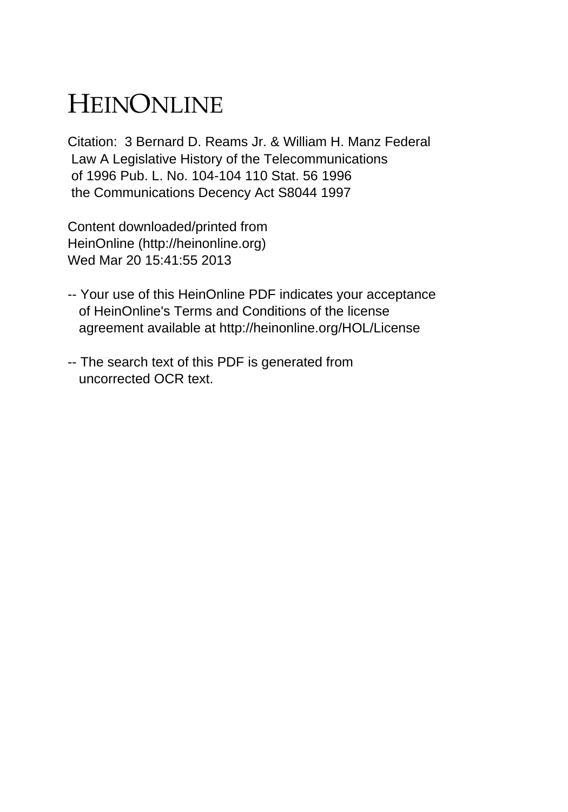# HEINONLINE

Citation: 3 Bernard D. Reams Jr. & William H. Manz Federal Law A Legislative History of the Telecommunications of 1996 Pub. L. No. 104-104 110 Stat. 56 1996 the Communications Decency Act S8044 1997

Content downloaded/printed from HeinOnline (http://heinonline.org) Wed Mar 20 15:41:55 2013

- -- Your use of this HeinOnline PDF indicates your acceptance of HeinOnline's Terms and Conditions of the license agreement available at http://heinonline.org/HOL/License
- -- The search text of this PDF is generated from uncorrected OCR text.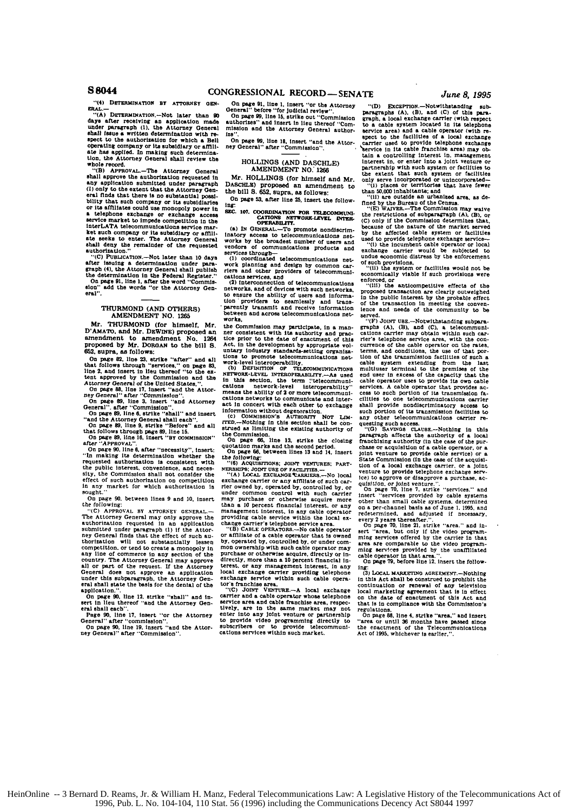"(4) **DETERMINATION BY ATTORNEY 0EN ERAL.-** (a) DELEVATION, the application made<br>under paragraph (1), the Attorney General<br>shall issue a written determination with re-<br>spect to the authorization for which a Reli operating company or its subsidiary or affili-<br>ate has applied. In making such determina-<br>tion, the Attorney General shall review the

whole record.<br>
"(B) Approval...-The Attorney General<br>
shall approve the authorization requested in<br>
any application submitted under paragraph<br>
any application submitted under paragraph<br>
eral finds that there is no substant **blity that such company or its eubsidiaries**<br>or its affiliates could use monopoly power in<br>a telephone exchange or exchange access<br>service market to impede competition in the<br>interLATA telecommunications service marservice market to impede competition in the interLATA telecommunications service market such communications to the set of the set of the set of the set of the set of the set of the requested and deny the remainder of the r

**""(C) PUBLICATION.--Not later than 10 days** after issuing a determination under para-<br>graph (4). the Attorney General shall publish On page **91.** line **I,** after the word "Commis- sion" **add** the words "or the Attorney Gen-

## eral". **THURMOND (AND** OTHERS)

# **AMENDMENT NO, 1265**

Mr. **THURMOND** (for himself, Mr. **D'AMATO. and** Mr. **DEWNE)** proposed an amendment to amendment No. **<sup>1264</sup>** proposed **by** Mr. **DOROAN** to the **bill S.**

**652.** supra, as follows:<br>
On page 82. line 23. strike "after" and all that follows through "services," on page 83, the strike the strike strike the strike of "to the ex-On page 62, line 23, strike "after" and all<br>that follows through "services," on page 63,<br>that follows through "services," on page 63,<br>tent approved by the Commission and the<br>Attorney General of the United States,"<br>On page

**On page** 89. **line 3.** Insert "and Attorney General". after "Commission".

On page 69, line 6, strike "shall" and insert<br>"and the Attorney General shall each".<br>On page 89, line 9, strike "Before" and all<br>that follows through page 89, line 15.<br>On page 89, line 16, insert "BY COMMISSION"<br>On page 89

after "APPROVAL".<br>
"On page 90, line 6, after "necessity", insert:<br>
"In making its determination whether the<br>
requested authorization is consistent with<br>
the public interest, convenience, and neces-<br>
sity, the Commission In **any** market for which authorization **<sup>13</sup>** sought."

On page **90.** between lines **9 and 10.** insert **the** following:

**"(C)** APROVAL **BY ATTORNEY GENERAL.-** "(C) APPROVAL BY ATTORNEY OENERAL—<br>The Attorney General may only approve the<br>subhritted under paragraph (1) if the Attorney General finds that the effect of such a<br>u-thermal finds that the effect of such authorization wil competition, or tensi of cerate a monopoly in<br>any line of commerce in any section of the<br>country. The Attorney General may approve<br>all or part of the request. If the Attorney<br>General does not approve an application<br>under t application.".<br>
On page 90, line 12, strike "shall" and in-

**On** page **89,** line **12.** strike "shall" and **in-** sert **in** lieu thereof "and the Attorney Gen- **eral** shall each".

**Page 83,** line **17,** insert "or the Attorney General" after "commission".

On page **90.** line **19.** Insert "and the Attor- ney General" after "Commission".

**CONGRESSIONAL RECORD** — SENATE

Our page st, line 1, insert 'or the Attorney<br>General' before "for judicial review".<br>On page 99, line 15, strike out "Commission<br>authorizes" and insert in lieu thereof "Commission<br>mission and the Attorney General author-<br>tr

**<sup>I</sup>**On page **89.** line **10.** insert "and the Attor **-** ney General" after "Commlslon".

## **HOLLINGS (AND DASCHLE)**

AMENDMENT NO. 1266<br>Mr. HOLLINGS (for himself and Mr. **<sup>1</sup>**Mr. HOLLINGS (for himself and Mr **I DASCHLB)** proposed an amendment **tu** the **bill 8. 652.** supra. **as** follows:

**i1ng'** On page **13.** alter line **25,** insert the follow

**SEC. 107. COORDINATION FOR TKLECOMMUNI**<br>CATTONS NETWORK-LEVIL INTER-<br>OPERABILITY.<br>
(a) IN GENERAL.-TO promote nondiscrim-<br>
inatory access to telecommunications net-<br>
works by the broadest number of users and

works by the broadest number of users and<br>vendors of communications products and<br>services through—<br>(1) coordinated telecommunications net-<br>work planning and design by common car-<br>riers and other providers of telecommuni-<br>c

networks, and of devices with such networks,<br>to ensure the ability of users and informa-<br>tion 'providers to seamlessly and trans-<br>parently transmit and receive information<br>between and across telecommunications net-<br>works,

the Commission may participate, in a man-<br>the Commission with its authority and prac-<br>tice prior to the date of enactment of this<br>Act, in the development by appropriate vol-<br>untary industry standards-setting organizations to promote telecommunications net-<br>work-level interoperability. **(b)** DEFINITION OF TELECOMMUNICATIONS **m** 

**NETWORK-LEVEL INTEROPERABILTTY.—As used in this section. the term ''telecommuni**cations network-level interoperabillty" means the ability of 2 or **more** telecommunications networks to communicate and inter- act In concert with each other **to** exchange

information without degeneration. **(C)** COMMISSION'S AUTHOIrY NOT Loss- irrD.-Nothing In this section shall be con- strued **as** limiting the existing authority **of** the Commission.<br>On page 66, line 13, strike the closing

On page 66, line 13, strike the closing<br>quotation marks and the second period.<br>On page 66, between lines 13 and 14, insert<br>the following:<br>"(6) Acquisirions; join't ventures; PART-

NERSHIPS: JODIT USE OF FACILITIES.—NO local<br>"GAL LOCAL EXCHANGE CARRIERS.—NO local<br>exchange carrier or any affiliate of such carrier overed by, controlled by, or<br>trier owned by, operated by, controlled by, or<br>under common than a **10** percent financial Interest, or any management Interest, In any cable operator

management interest, in any cable operator<br>management interest, in any cable operator<br>change calle service within the local ex-<br>change carrier's telephone service area.<br>"(6) CaBLE OFRAATORS.-No cable operator or<br>affiliate

"(C) JOINT VENTURE-A local exchange<br>carrier and a cable operator whose telephone<br>service area and cable franchise area, respec-<br>tively, are in the same market may not<br>enter into any joint venture or partnership **to** provide video programming directly **to** subscribers or to provide telecommuni-cations services within such market.

**"(D)** EXCEPTION.-Notwithstanding sub-<br>paragraphs (A), (B), and (C) of this paraparagraphs (A), (B), and (C) of this para-<br>
1 graph, a local exchange carrier with respect<br>  $\sim$  to a cable system located in its telephone<br>
between response of a cable operator with re-<br>
spect to the facilities of a local interest in, or enter into a joint venture or<br>partnership with such aystem or facilities to<br>the extent that such system or facilities<br>only serve incorporated or unincorporated—<br>"(i) places or territories that have fewer<br>th

**"(II) are** outslde **an** urbanized area. **AS de-Sfined by** the Bureau **of** the Census. **"(El** WArVEE.-The **Commission** may waive

the restrictions of subparagraph  $(A)$ ,  $(B)$ ,  $C$ <br>  $(C)$  only if the Commission determines that,<br>
because of the nature of the market served<br>
by the affected cable system or facilities<br>
used to provide telephone exchange se

**<sup>I</sup>**exchange carrier would be subjected to undue economic distress **by** the enforcement

**of such provisions. "**<br>" (ii) the system or facilities would not be economically viable if such provisions were<br>enforced, or

' **"ll)** the anticompetitive effects of the **proposed** transaction **are** clearly outweighed in the public interest **by** the probable effect of the transaction in meeting the convenience and needs of the community **to** be served.

"(F) **JOINT** USn.-Notwithstanding subparagraphs **(A)**, **(B)**, and **(C)**, a telecommunications carrier may obtain within such car-<br>rier's telephone service area, with the concurrence of the cable operator on the rates, terms, and conditions, the use of that port-<br>tion of the transmission facilities of such a<br>cable system extending from the last multituser terminal to the premises of the<br>end user in excess of the capacity that the<br>cable operator uses to provide its own cable<br>eervices. A cable operator that provides ac-<br>cess to such portion of its transmission facilities **to** one telecommunications carrier shall provide nondiscriminatory access to such portion **of its** transmission facilities to any other telecommunications carrier requesting such access.<br>
"(G) SAVING8 CLAUSE.-Nothing in this

paragraph affects the authority of a local than<br>chises or acquisition of a cable operator, or a chises or acquisition of a cable operator, or a<br>State Commission (in the case of the acquisition of a local excelance<br>State C

quisition, or joint venture.".<br>On page 70. line 7. strike "services." and<br>insert "services provided by cable systems<br>other than small cable systems, determined

on a per-channel basis as of June 1, 1995, and<br>redetermined, and adjusted if necessary,<br>correctermined, and adjusted if necessary,<br>On page 70, line 21, strike "area." and in-<br>sert "area, but only if the video program-<br>ming

Ing' **3() LOCAL MARKET'IOG** AGREEMEWr.-Nothing

in this Act shall be construed to prohibit the<br>continuation or renewal of any television<br>local marketing agreement that is in effect<br>on the date of enactment that is incompliance with the Commission's

regulations. On page **88.** line **4.** strike **"area."** and Insert **"area** or until **36** months have **Passed** since the enactment of the Telecommunications Act **of 1995.** whichever Is earlier.".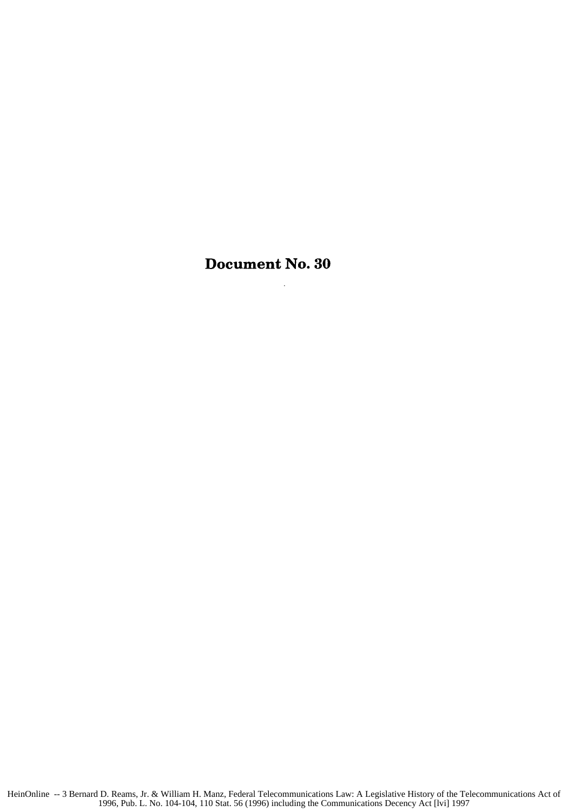Document No. **30**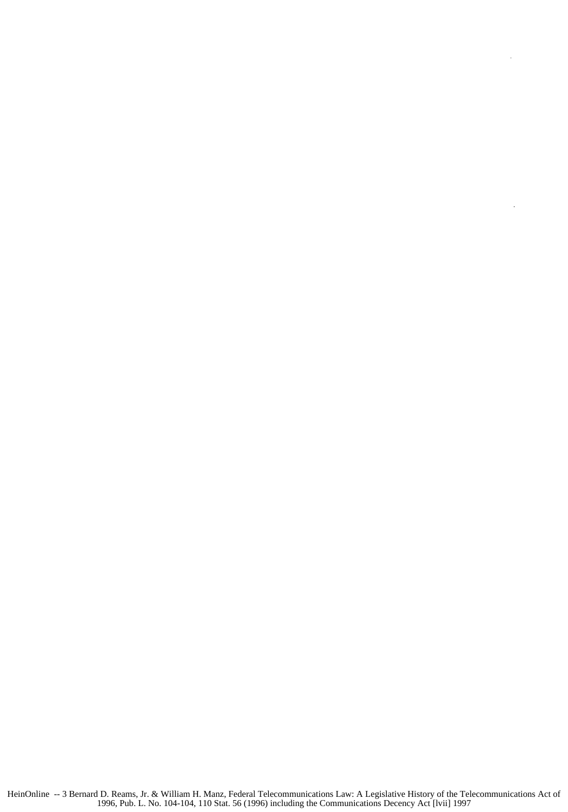HeinOnline -- 3 Bernard D. Reams, Jr. & William H. Manz, Federal Telecommunications Law: A Legislative History of the Telecommunications Act of 1996, Pub. L. No. 104-104, 110 Stat. 56 (1996) including the Communications Decency Act [lvii] 1997